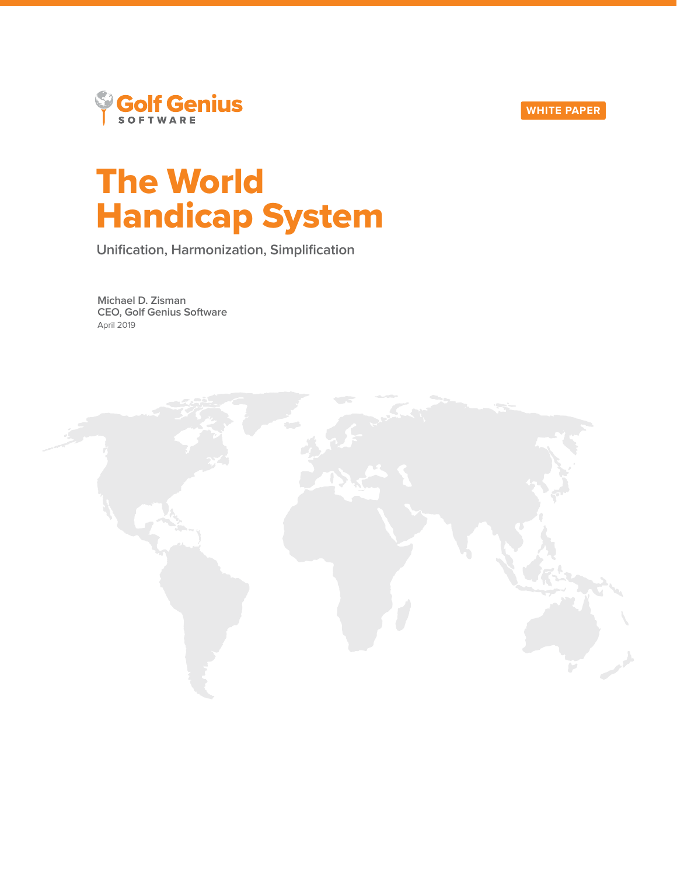



# The World Handicap System

**Unification, Harmonization, Simplification**

**Michael D. Zisman CEO, Golf Genius Software** April 2019

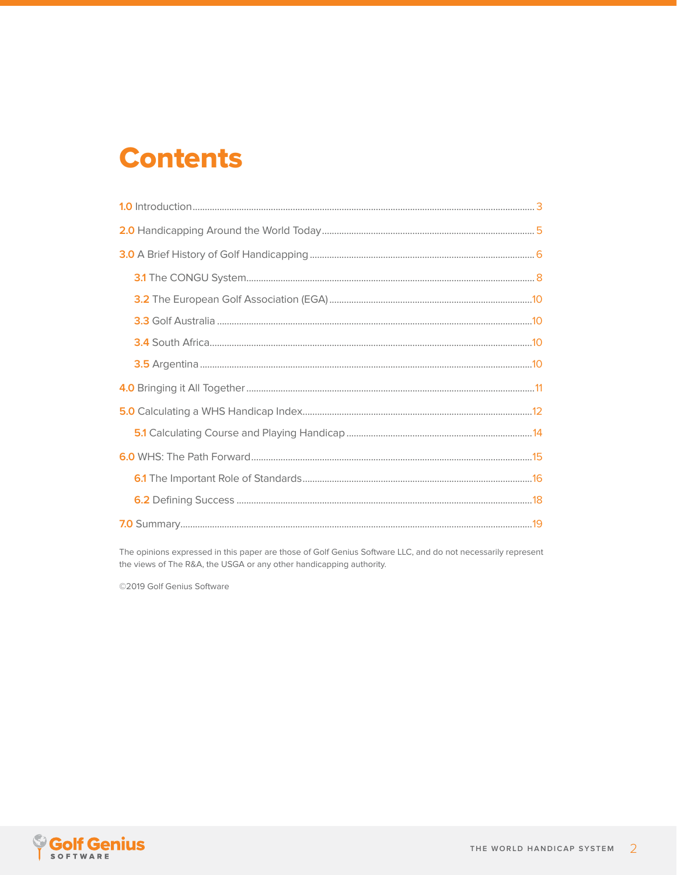## **Contents**

The opinions expressed in this paper are those of Golf Genius Software LLC, and do not necessarily represent the views of The R&A, the USGA or any other handicapping authority.

©2019 Golf Genius Software

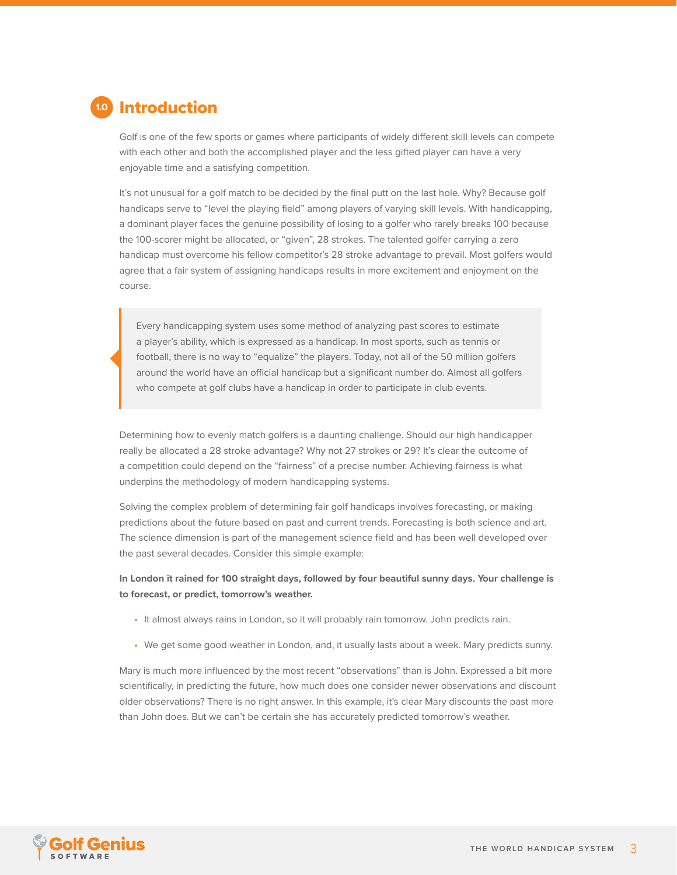<span id="page-2-0"></span>

Golf is one of the few sports or games where participants of widely different skill levels can compete with each other and both the accomplished player and the less gifted player can have a very enjoyable time and a satisfying competition.

It's not unusual for a golf match to be decided by the final putt on the last hole. Why? Because golf handicaps serve to "level the playing field" among players of varying skill levels. With handicapping, a dominant player faces the genuine possibility of losing to a golfer who rarely breaks 100 because the 100-scorer might be allocated, or "given", 28 strokes. The talented golfer carrying a zero handicap must overcome his fellow competitor's 28 stroke advantage to prevail. Most golfers would agree that a fair system of assigning handicaps results in more excitement and enjoyment on the course.

Every handicapping system uses some method of analyzing past scores to estimate a player's ability, which is expressed as a handicap. In most sports, such as tennis or football, there is no way to "equalize" the players. Today, not all of the 50 million golfers around the world have an official handicap but a significant number do. Almost all golfers who compete at golf clubs have a handicap in order to participate in club events.

Determining how to evenly match golfers is a daunting challenge. Should our high handicapper really be allocated a 28 stroke advantage? Why not 27 strokes or 29? It's clear the outcome of a competition could depend on the "fairness" of a precise number. Achieving fairness is what underpins the methodology of modern handicapping systems.

Solving the complex problem of determining fair golf handicaps involves forecasting, or making predictions about the future based on past and current trends. Forecasting is both science and art. The science dimension is part of the management science field and has been well developed over the past several decades. Consider this simple example:

**In London it rained for 100 straight days, followed by four beautiful sunny days. Your challenge is to forecast, or predict, tomorrow's weather.** 

- **•** It almost always rains in London, so it will probably rain tomorrow. John predicts rain.
- **•** We get some good weather in London, and, it usually lasts about a week. Mary predicts sunny.

Mary is much more influenced by the most recent "observations" than is John. Expressed a bit more scientifically, in predicting the future, how much does one consider newer observations and discount older observations? There is no right answer. In this example, it's clear Mary discounts the past more than John does. But we can't be certain she has accurately predicted tomorrow's weather.

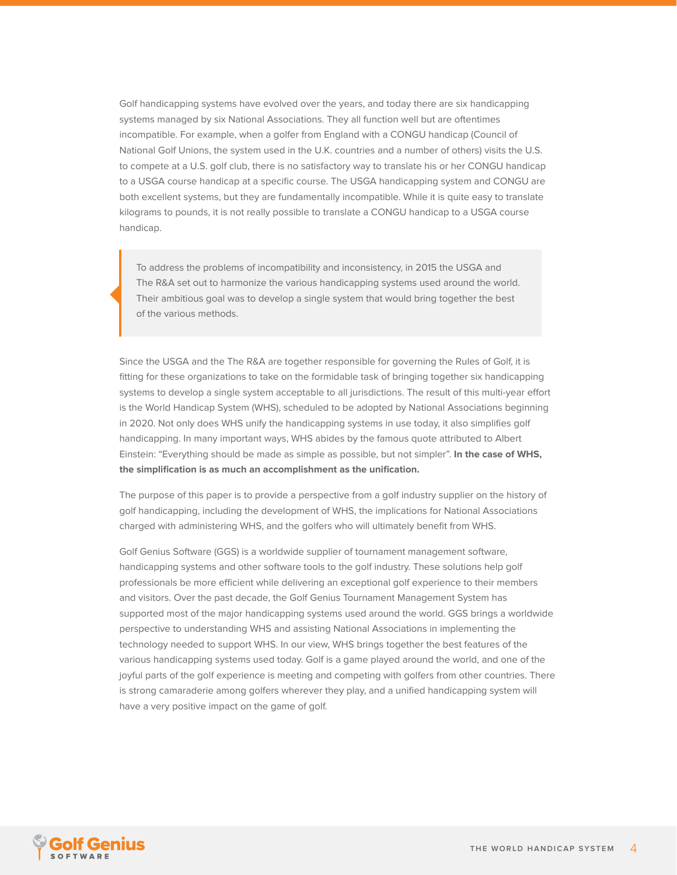Golf handicapping systems have evolved over the years, and today there are six handicapping systems managed by six National Associations. They all function well but are oftentimes incompatible. For example, when a golfer from England with a CONGU handicap (Council of National Golf Unions, the system used in the U.K. countries and a number of others) visits the U.S. to compete at a U.S. golf club, there is no satisfactory way to translate his or her CONGU handicap to a USGA course handicap at a specific course. The USGA handicapping system and CONGU are both excellent systems, but they are fundamentally incompatible. While it is quite easy to translate kilograms to pounds, it is not really possible to translate a CONGU handicap to a USGA course handicap.

To address the problems of incompatibility and inconsistency, in 2015 the USGA and The R&A set out to harmonize the various handicapping systems used around the world. Their ambitious goal was to develop a single system that would bring together the best of the various methods.

Since the USGA and the The R&A are together responsible for governing the Rules of Golf, it is fitting for these organizations to take on the formidable task of bringing together six handicapping systems to develop a single system acceptable to all jurisdictions. The result of this multi-year effort is the World Handicap System (WHS), scheduled to be adopted by National Associations beginning in 2020. Not only does WHS unify the handicapping systems in use today, it also simplifies golf handicapping. In many important ways, WHS abides by the famous quote attributed to Albert Einstein: "Everything should be made as simple as possible, but not simpler". **In the case of WHS, the simplification is as much an accomplishment as the unification.**

The purpose of this paper is to provide a perspective from a golf industry supplier on the history of golf handicapping, including the development of WHS, the implications for National Associations charged with administering WHS, and the golfers who will ultimately benefit from WHS.

Golf Genius Software (GGS) is a worldwide supplier of tournament management software, handicapping systems and other software tools to the golf industry. These solutions help golf professionals be more efficient while delivering an exceptional golf experience to their members and visitors. Over the past decade, the Golf Genius Tournament Management System has supported most of the major handicapping systems used around the world. GGS brings a worldwide perspective to understanding WHS and assisting National Associations in implementing the technology needed to support WHS. In our view, WHS brings together the best features of the various handicapping systems used today. Golf is a game played around the world, and one of the joyful parts of the golf experience is meeting and competing with golfers from other countries. There is strong camaraderie among golfers wherever they play, and a unified handicapping system will have a very positive impact on the game of golf.

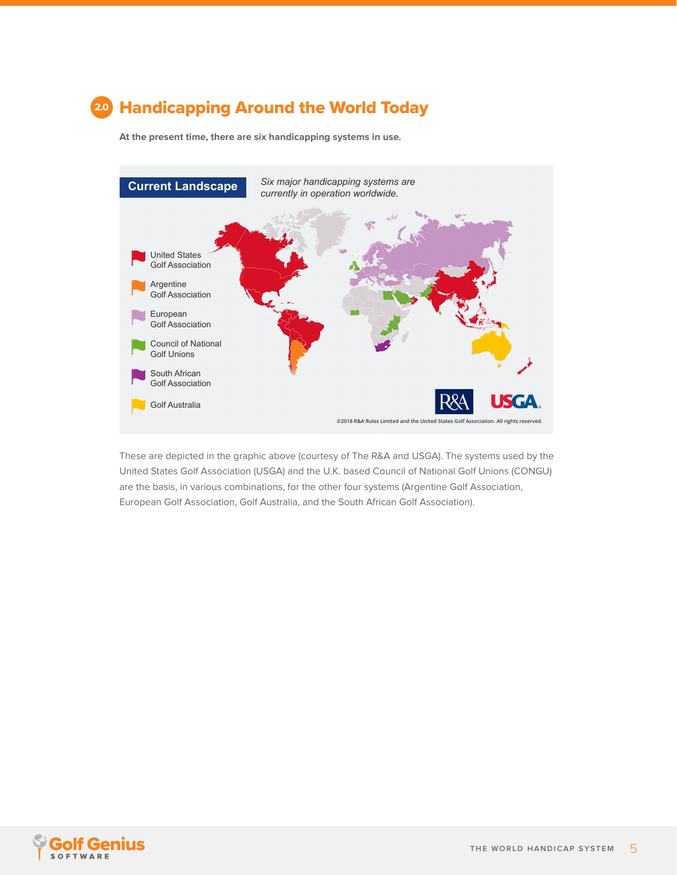### <span id="page-4-0"></span>Handicapping Around the World Today **2.0**

**At the present time, there are six handicapping systems in use.**



These are depicted in the graphic above (courtesy of The R&A and USGA). The systems used by the United States Golf Association (USGA) and the U.K. based Council of National Golf Unions (CONGU) are the basis, in various combinations, for the other four systems (Argentine Golf Association, European Golf Association, Golf Australia, and the South African Golf Association).

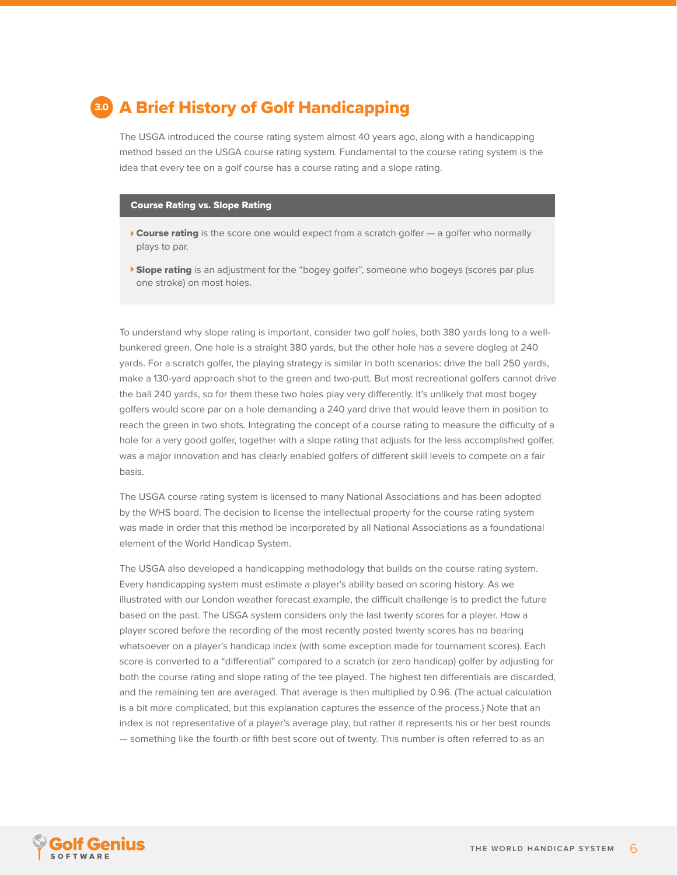<span id="page-5-0"></span>![](_page_5_Picture_0.jpeg)

The USGA introduced the course rating system almost 40 years ago, along with a handicapping method based on the USGA course rating system. Fundamental to the course rating system is the idea that every tee on a golf course has a course rating and a slope rating.

#### Course Rating vs. Slope Rating

- $\triangleright$  Course rating is the score one would expect from a scratch golfer  $-$  a golfer who normally plays to par.
- **Slope rating** is an adjustment for the "bogey golfer", someone who bogeys (scores par plus one stroke) on most holes.

To understand why slope rating is important, consider two golf holes, both 380 yards long to a wellbunkered green. One hole is a straight 380 yards, but the other hole has a severe dogleg at 240 yards. For a scratch golfer, the playing strategy is similar in both scenarios: drive the ball 250 yards, make a 130-yard approach shot to the green and two-putt. But most recreational golfers cannot drive the ball 240 yards, so for them these two holes play very differently. It's unlikely that most bogey golfers would score par on a hole demanding a 240 yard drive that would leave them in position to reach the green in two shots. Integrating the concept of a course rating to measure the difficulty of a hole for a very good golfer, together with a slope rating that adjusts for the less accomplished golfer, was a major innovation and has clearly enabled golfers of different skill levels to compete on a fair basis.

The USGA course rating system is licensed to many National Associations and has been adopted by the WHS board. The decision to license the intellectual property for the course rating system was made in order that this method be incorporated by all National Associations as a foundational element of the World Handicap System.

The USGA also developed a handicapping methodology that builds on the course rating system. Every handicapping system must estimate a player's ability based on scoring history. As we illustrated with our London weather forecast example, the difficult challenge is to predict the future based on the past. The USGA system considers only the last twenty scores for a player. How a player scored before the recording of the most recently posted twenty scores has no bearing whatsoever on a player's handicap index (with some exception made for tournament scores). Each score is converted to a "differential" compared to a scratch (or zero handicap) golfer by adjusting for both the course rating and slope rating of the tee played. The highest ten differentials are discarded, and the remaining ten are averaged. That average is then multiplied by 0.96. (The actual calculation is a bit more complicated, but this explanation captures the essence of the process.) Note that an index is not representative of a player's average play, but rather it represents his or her best rounds — something like the fourth or fifth best score out of twenty. This number is often referred to as an

![](_page_5_Picture_8.jpeg)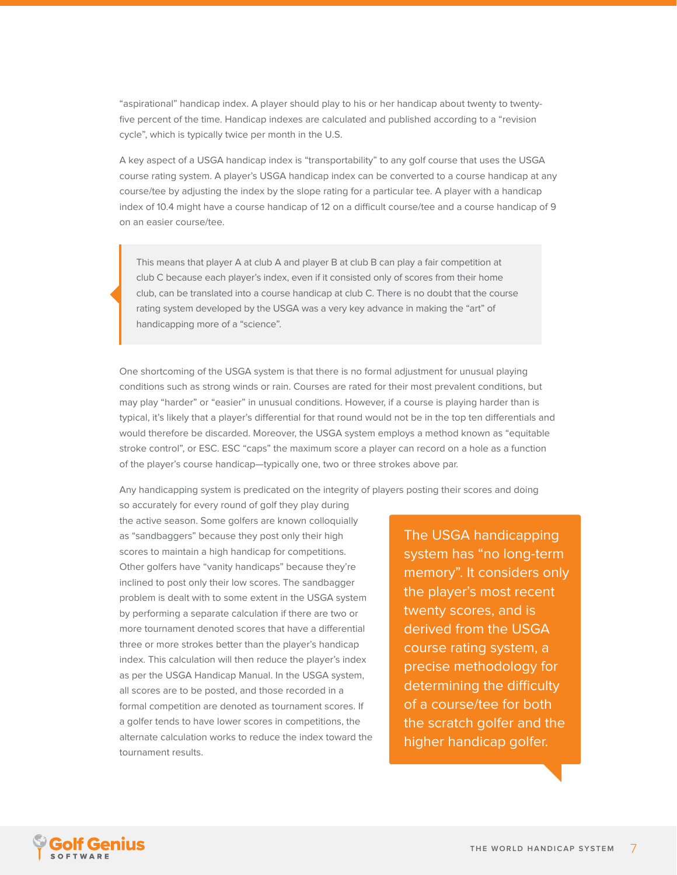"aspirational" handicap index. A player should play to his or her handicap about twenty to twentyfive percent of the time. Handicap indexes are calculated and published according to a "revision cycle", which is typically twice per month in the U.S.

A key aspect of a USGA handicap index is "transportability" to any golf course that uses the USGA course rating system. A player's USGA handicap index can be converted to a course handicap at any course/tee by adjusting the index by the slope rating for a particular tee. A player with a handicap index of 10.4 might have a course handicap of 12 on a difficult course/tee and a course handicap of 9 on an easier course/tee.

This means that player A at club A and player B at club B can play a fair competition at club C because each player's index, even if it consisted only of scores from their home club, can be translated into a course handicap at club C. There is no doubt that the course rating system developed by the USGA was a very key advance in making the "art" of handicapping more of a "science".

One shortcoming of the USGA system is that there is no formal adjustment for unusual playing conditions such as strong winds or rain. Courses are rated for their most prevalent conditions, but may play "harder" or "easier" in unusual conditions. However, if a course is playing harder than is typical, it's likely that a player's differential for that round would not be in the top ten differentials and would therefore be discarded. Moreover, the USGA system employs a method known as "equitable stroke control", or ESC. ESC "caps" the maximum score a player can record on a hole as a function of the player's course handicap—typically one, two or three strokes above par.

Any handicapping system is predicated on the integrity of players posting their scores and doing

so accurately for every round of golf they play during the active season. Some golfers are known colloquially as "sandbaggers" because they post only their high scores to maintain a high handicap for competitions. Other golfers have "vanity handicaps" because they're inclined to post only their low scores. The sandbagger problem is dealt with to some extent in the USGA system by performing a separate calculation if there are two or more tournament denoted scores that have a differential three or more strokes better than the player's handicap index. This calculation will then reduce the player's index as per the USGA Handicap Manual. In the USGA system, all scores are to be posted, and those recorded in a formal competition are denoted as tournament scores. If a golfer tends to have lower scores in competitions, the alternate calculation works to reduce the index toward the tournament results.

The USGA handicapping system has "no long-term memory". It considers only the player's most recent twenty scores, and is derived from the USGA course rating system, a precise methodology for determining the difficulty of a course/tee for both the scratch golfer and the higher handicap golfer.

![](_page_6_Picture_7.jpeg)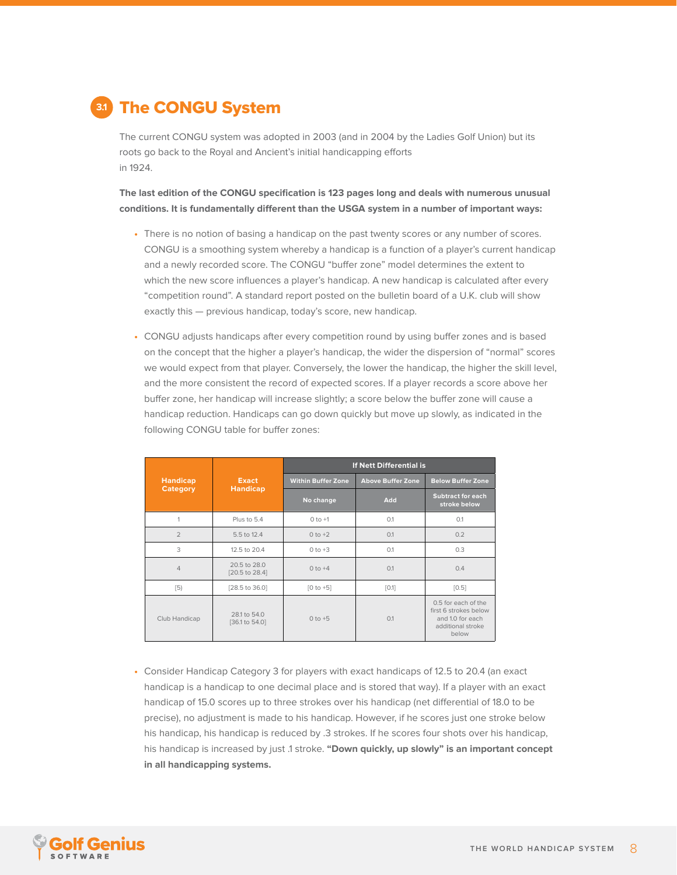<span id="page-7-0"></span>![](_page_7_Picture_0.jpeg)

The current CONGU system was adopted in 2003 (and in 2004 by the Ladies Golf Union) but its roots go back to the Royal and Ancient's initial handicapping efforts in 1924.

**The last edition of the CONGU specification is 123 pages long and deals with numerous unusual conditions. It is fundamentally different than the USGA system in a number of important ways:**

- **•** There is no notion of basing a handicap on the past twenty scores or any number of scores. CONGU is a smoothing system whereby a handicap is a function of a player's current handicap and a newly recorded score. The CONGU "buffer zone" model determines the extent to which the new score influences a player's handicap. A new handicap is calculated after every "competition round". A standard report posted on the bulletin board of a U.K. club will show exactly this — previous handicap, today's score, new handicap.
- **•** CONGU adjusts handicaps after every competition round by using buffer zones and is based on the concept that the higher a player's handicap, the wider the dispersion of "normal" scores we would expect from that player. Conversely, the lower the handicap, the higher the skill level, and the more consistent the record of expected scores. If a player records a score above her buffer zone, her handicap will increase slightly; a score below the buffer zone will cause a handicap reduction. Handicaps can go down quickly but move up slowly, as indicated in the following CONGU table for buffer zones:

|                             | <b>Exact</b><br><b>Handicap</b> | If Nett Differential is   |                          |                                                                                                |  |
|-----------------------------|---------------------------------|---------------------------|--------------------------|------------------------------------------------------------------------------------------------|--|
| <b>Handicap</b><br>Category |                                 | <b>Within Buffer Zone</b> | <b>Above Buffer Zone</b> | <b>Below Buffer Zone</b>                                                                       |  |
|                             |                                 | No change                 | Add                      | <b>Subtract for each</b><br>stroke below                                                       |  |
| 1                           | Plus to 5.4                     | $0 to +1$                 | O.1                      | O.1                                                                                            |  |
| $\overline{2}$              | 5.5 to 12.4                     | $0 to +2$                 | 0.1                      | 0.2                                                                                            |  |
| 3                           | 12.5 to 20.4                    | $0 to +3$                 | 0.1                      | 0.3                                                                                            |  |
| $\overline{4}$              | 20.5 to 28.0<br>[20.5 to 28.4]  | $0$ to $+4$               | 0.1                      | 0.4                                                                                            |  |
| $\left[5\right)$            | [28.5 to 36.0]                  | $[0 to +5]$               | [0.1]                    | [0.5]                                                                                          |  |
| Club Handicap               | 28.1 to 54.0<br>[36.1 to 54.0]  | $0$ to $+5$               | 0.1                      | 0.5 for each of the<br>first 6 strokes below<br>and 1.0 for each<br>additional stroke<br>below |  |

**•** Consider Handicap Category 3 for players with exact handicaps of 12.5 to 20.4 (an exact handicap is a handicap to one decimal place and is stored that way). If a player with an exact handicap of 15.0 scores up to three strokes over his handicap (net differential of 18.0 to be precise), no adjustment is made to his handicap. However, if he scores just one stroke below his handicap, his handicap is reduced by .3 strokes. If he scores four shots over his handicap, his handicap is increased by just .1 stroke. **"Down quickly, up slowly" is an important concept in all handicapping systems.**

![](_page_7_Picture_7.jpeg)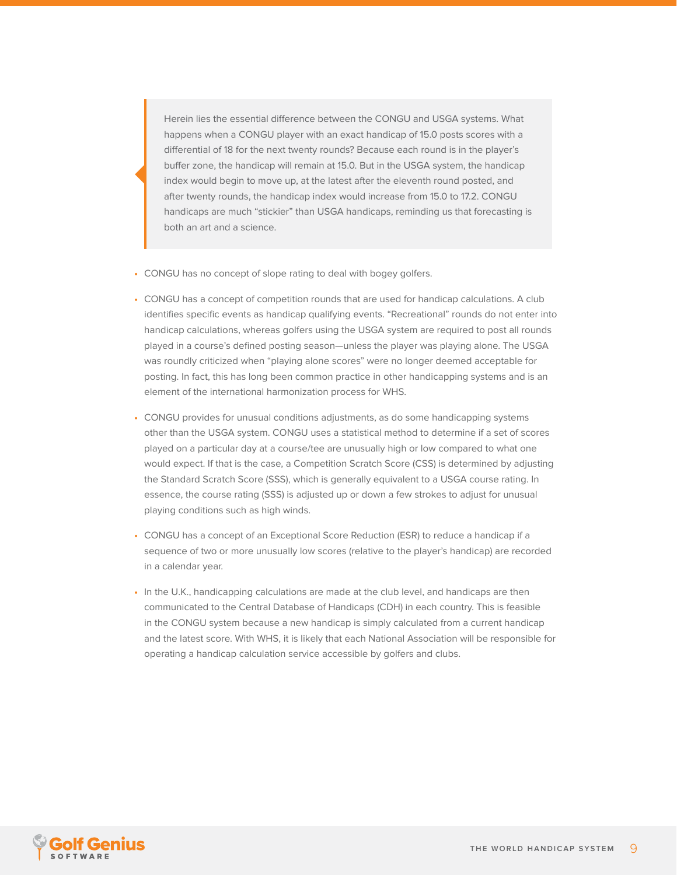Herein lies the essential difference between the CONGU and USGA systems. What happens when a CONGU player with an exact handicap of 15.0 posts scores with a differential of 18 for the next twenty rounds? Because each round is in the player's buffer zone, the handicap will remain at 15.0. But in the USGA system, the handicap index would begin to move up, at the latest after the eleventh round posted, and after twenty rounds, the handicap index would increase from 15.0 to 17.2. CONGU handicaps are much "stickier" than USGA handicaps, reminding us that forecasting is both an art and a science.

- **•** CONGU has no concept of slope rating to deal with bogey golfers.
- **•** CONGU has a concept of competition rounds that are used for handicap calculations. A club identifies specific events as handicap qualifying events. "Recreational" rounds do not enter into handicap calculations, whereas golfers using the USGA system are required to post all rounds played in a course's defined posting season—unless the player was playing alone. The USGA was roundly criticized when "playing alone scores" were no longer deemed acceptable for posting. In fact, this has long been common practice in other handicapping systems and is an element of the international harmonization process for WHS.
- **•** CONGU provides for unusual conditions adjustments, as do some handicapping systems other than the USGA system. CONGU uses a statistical method to determine if a set of scores played on a particular day at a course/tee are unusually high or low compared to what one would expect. If that is the case, a Competition Scratch Score (CSS) is determined by adjusting the Standard Scratch Score (SSS), which is generally equivalent to a USGA course rating. In essence, the course rating (SSS) is adjusted up or down a few strokes to adjust for unusual playing conditions such as high winds.
- **•** CONGU has a concept of an Exceptional Score Reduction (ESR) to reduce a handicap if a sequence of two or more unusually low scores (relative to the player's handicap) are recorded in a calendar year.
- **•** In the U.K., handicapping calculations are made at the club level, and handicaps are then communicated to the Central Database of Handicaps (CDH) in each country. This is feasible in the CONGU system because a new handicap is simply calculated from a current handicap and the latest score. With WHS, it is likely that each National Association will be responsible for operating a handicap calculation service accessible by golfers and clubs.

![](_page_8_Picture_6.jpeg)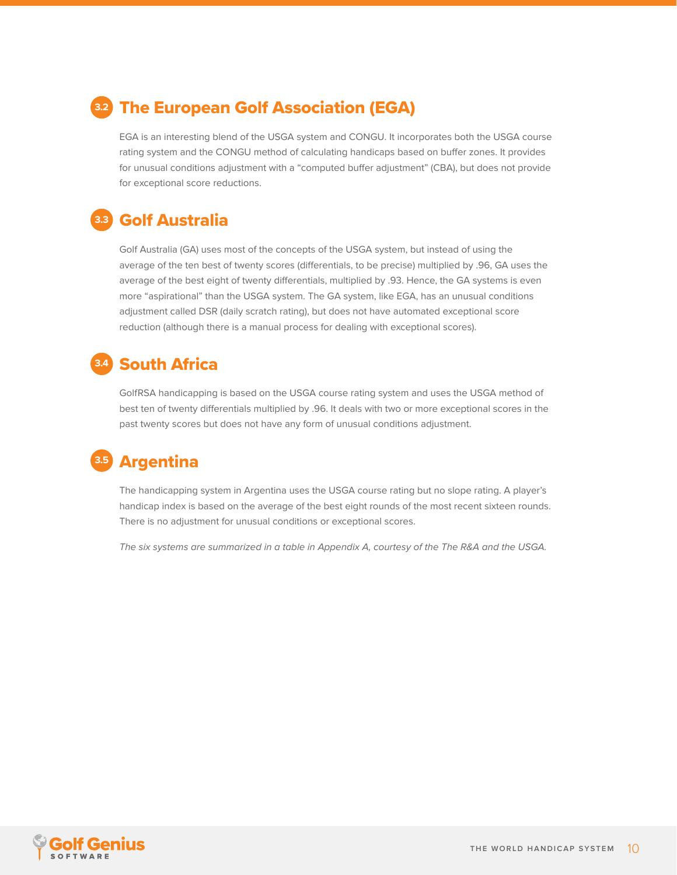### <span id="page-9-0"></span>The European Golf Association (EGA) **3.2**

EGA is an interesting blend of the USGA system and CONGU. It incorporates both the USGA course rating system and the CONGU method of calculating handicaps based on buffer zones. It provides for unusual conditions adjustment with a "computed buffer adjustment" (CBA), but does not provide for exceptional score reductions.

#### Golf Australia **3.3**

Golf Australia (GA) uses most of the concepts of the USGA system, but instead of using the average of the ten best of twenty scores (differentials, to be precise) multiplied by .96, GA uses the average of the best eight of twenty differentials, multiplied by .93. Hence, the GA systems is even more "aspirational" than the USGA system. The GA system, like EGA, has an unusual conditions adjustment called DSR (daily scratch rating), but does not have automated exceptional score reduction (although there is a manual process for dealing with exceptional scores).

#### South Africa **3.4**

GolfRSA handicapping is based on the USGA course rating system and uses the USGA method of best ten of twenty differentials multiplied by .96. It deals with two or more exceptional scores in the past twenty scores but does not have any form of unusual conditions adjustment.

### Argentina **3.5**

The handicapping system in Argentina uses the USGA course rating but no slope rating. A player's handicap index is based on the average of the best eight rounds of the most recent sixteen rounds. There is no adjustment for unusual conditions or exceptional scores.

[The six systems are summarized in a table in Appendix A, courtesy of the The R&A and the USGA.](#page-19-0)

![](_page_9_Picture_9.jpeg)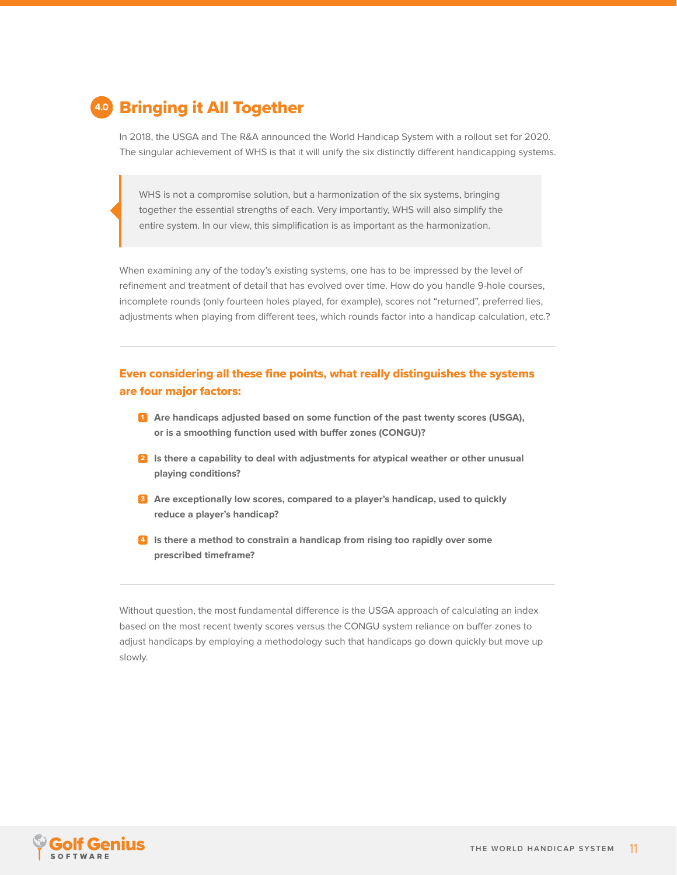<span id="page-10-0"></span>![](_page_10_Picture_0.jpeg)

In 2018, the USGA and The R&A announced the World Handicap System with a rollout set for 2020. The singular achievement of WHS is that it will unify the six distinctly different handicapping systems.

WHS is not a compromise solution, but a harmonization of the six systems, bringing together the essential strengths of each. Very importantly, WHS will also simplify the entire system. In our view, this simplification is as important as the harmonization.

When examining any of the today's existing systems, one has to be impressed by the level of refinement and treatment of detail that has evolved over time. How do you handle 9-hole courses, incomplete rounds (only fourteen holes played, for example), scores not "returned", preferred lies, adjustments when playing from different tees, which rounds factor into a handicap calculation, etc.?

#### Even considering all these fine points, what really distinguishes the systems are four major factors:

- **1. Are handicaps adjusted based on some function of the past twenty scores (USGA), 1 or is a smoothing function used with buffer zones (CONGU)?**
- **2. Is there a capability to deal with adjustments for atypical weather or other unusual 2 playing conditions?**
- **3. Are exceptionally low scores, compared to a player's handicap, used to quickly 3 reduce a player's handicap?**
- **4. Is there a method to constrain a handicap from rising too rapidly over some 4 prescribed timeframe?**

Without question, the most fundamental difference is the USGA approach of calculating an index based on the most recent twenty scores versus the CONGU system reliance on buffer zones to adjust handicaps by employing a methodology such that handicaps go down quickly but move up slowly.

![](_page_10_Picture_10.jpeg)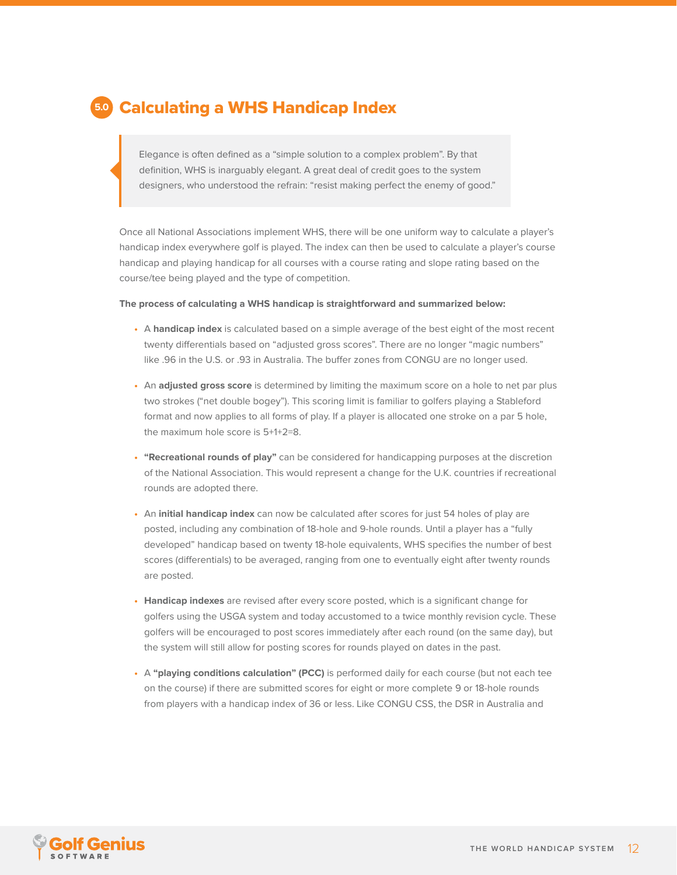### <span id="page-11-0"></span>Calculating a WHS Handicap Index **5.0**

Elegance is often defined as a "simple solution to a complex problem". By that definition, WHS is inarguably elegant. A great deal of credit goes to the system designers, who understood the refrain: "resist making perfect the enemy of good."

Once all National Associations implement WHS, there will be one uniform way to calculate a player's handicap index everywhere golf is played. The index can then be used to calculate a player's course handicap and playing handicap for all courses with a course rating and slope rating based on the course/tee being played and the type of competition.

#### **The process of calculating a WHS handicap is straightforward and summarized below:**

- **•** A **handicap index** is calculated based on a simple average of the best eight of the most recent twenty differentials based on "adjusted gross scores". There are no longer "magic numbers" like .96 in the U.S. or .93 in Australia. The buffer zones from CONGU are no longer used.
- **•** An **adjusted gross score** is determined by limiting the maximum score on a hole to net par plus two strokes ("net double bogey"). This scoring limit is familiar to golfers playing a Stableford format and now applies to all forms of play. If a player is allocated one stroke on a par 5 hole, the maximum hole score is 5+1+2=8.
- **• "Recreational rounds of play"** can be considered for handicapping purposes at the discretion of the National Association. This would represent a change for the U.K. countries if recreational rounds are adopted there.
- **•** An **initial handicap index** can now be calculated after scores for just 54 holes of play are posted, including any combination of 18-hole and 9-hole rounds. Until a player has a "fully developed" handicap based on twenty 18-hole equivalents, WHS specifies the number of best scores (differentials) to be averaged, ranging from one to eventually eight after twenty rounds are posted.
- **• Handicap indexes** are revised after every score posted, which is a significant change for golfers using the USGA system and today accustomed to a twice monthly revision cycle. These golfers will be encouraged to post scores immediately after each round (on the same day), but the system will still allow for posting scores for rounds played on dates in the past.
- **•** A **"playing conditions calculation" (PCC)** is performed daily for each course (but not each tee on the course) if there are submitted scores for eight or more complete 9 or 18-hole rounds from players with a handicap index of 36 or less. Like CONGU CSS, the DSR in Australia and

![](_page_11_Picture_10.jpeg)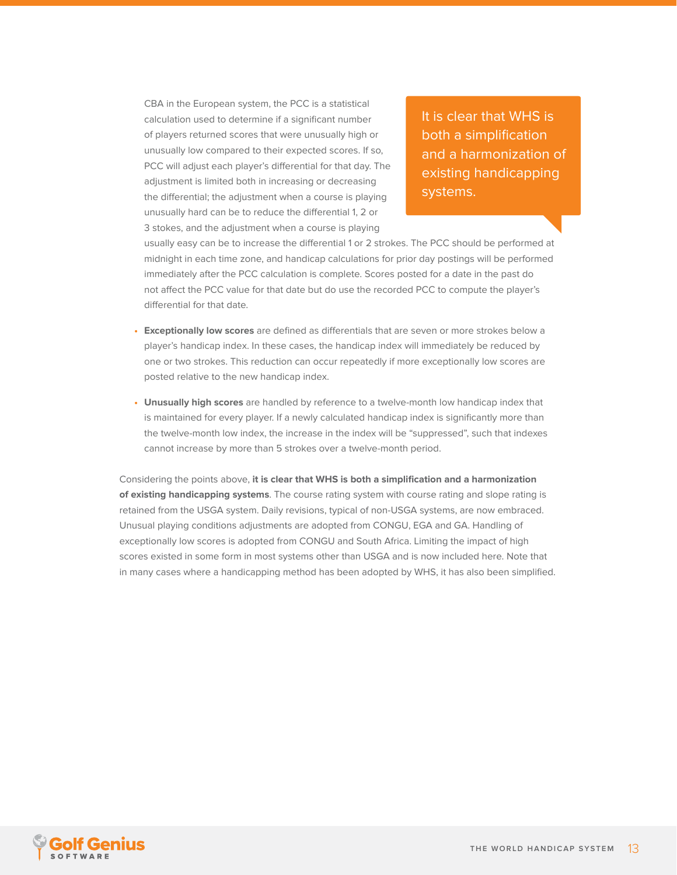CBA in the European system, the PCC is a statistical calculation used to determine if a significant number of players returned scores that were unusually high or unusually low compared to their expected scores. If so, PCC will adjust each player's differential for that day. The adjustment is limited both in increasing or decreasing the differential; the adjustment when a course is playing unusually hard can be to reduce the differential 1, 2 or 3 stokes, and the adjustment when a course is playing

It is clear that WHS is both a simplification and a harmonization of existing handicapping systems.

usually easy can be to increase the differential 1 or 2 strokes. The PCC should be performed at midnight in each time zone, and handicap calculations for prior day postings will be performed immediately after the PCC calculation is complete. Scores posted for a date in the past do not affect the PCC value for that date but do use the recorded PCC to compute the player's differential for that date.

- **• Exceptionally low scores** are defined as differentials that are seven or more strokes below a player's handicap index. In these cases, the handicap index will immediately be reduced by one or two strokes. This reduction can occur repeatedly if more exceptionally low scores are posted relative to the new handicap index.
- **• Unusually high scores** are handled by reference to a twelve-month low handicap index that is maintained for every player. If a newly calculated handicap index is significantly more than the twelve-month low index, the increase in the index will be "suppressed", such that indexes cannot increase by more than 5 strokes over a twelve-month period.

Considering the points above, **it is clear that WHS is both a simplification and a harmonization of existing handicapping systems**. The course rating system with course rating and slope rating is retained from the USGA system. Daily revisions, typical of non-USGA systems, are now embraced. Unusual playing conditions adjustments are adopted from CONGU, EGA and GA. Handling of exceptionally low scores is adopted from CONGU and South Africa. Limiting the impact of high scores existed in some form in most systems other than USGA and is now included here. Note that in many cases where a handicapping method has been adopted by WHS, it has also been simplified.

![](_page_12_Picture_6.jpeg)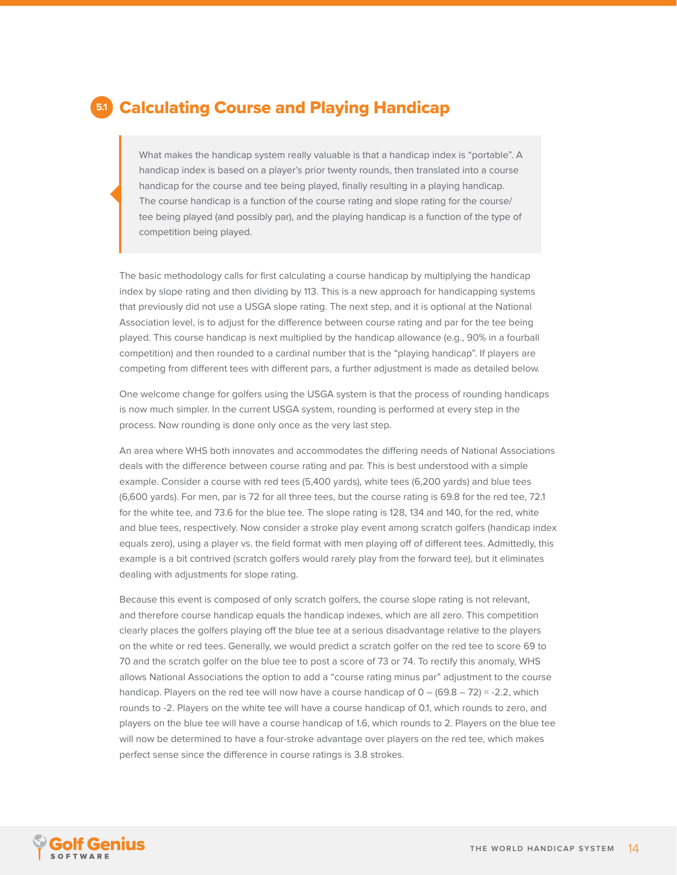### <span id="page-13-0"></span>Calculating Course and Playing Handicap **5.1**

What makes the handicap system really valuable is that a handicap index is "portable". A handicap index is based on a player's prior twenty rounds, then translated into a course handicap for the course and tee being played, finally resulting in a playing handicap. The course handicap is a function of the course rating and slope rating for the course/ tee being played (and possibly par), and the playing handicap is a function of the type of competition being played.

The basic methodology calls for first calculating a course handicap by multiplying the handicap index by slope rating and then dividing by 113. This is a new approach for handicapping systems that previously did not use a USGA slope rating. The next step, and it is optional at the National Association level, is to adjust for the difference between course rating and par for the tee being played. This course handicap is next multiplied by the handicap allowance (e.g., 90% in a fourball competition) and then rounded to a cardinal number that is the "playing handicap". If players are competing from different tees with different pars, a further adjustment is made as detailed below.

One welcome change for golfers using the USGA system is that the process of rounding handicaps is now much simpler. In the current USGA system, rounding is performed at every step in the process. Now rounding is done only once as the very last step.

An area where WHS both innovates and accommodates the differing needs of National Associations deals with the difference between course rating and par. This is best understood with a simple example. Consider a course with red tees (5,400 yards), white tees (6,200 yards) and blue tees (6,600 yards). For men, par is 72 for all three tees, but the course rating is 69.8 for the red tee, 72.1 for the white tee, and 73.6 for the blue tee. The slope rating is 128, 134 and 140, for the red, white and blue tees, respectively. Now consider a stroke play event among scratch golfers (handicap index equals zero), using a player vs. the field format with men playing off of different tees. Admittedly, this example is a bit contrived (scratch golfers would rarely play from the forward tee), but it eliminates dealing with adjustments for slope rating.

Because this event is composed of only scratch golfers, the course slope rating is not relevant, and therefore course handicap equals the handicap indexes, which are all zero. This competition clearly places the golfers playing off the blue tee at a serious disadvantage relative to the players on the white or red tees. Generally, we would predict a scratch golfer on the red tee to score 69 to 70 and the scratch golfer on the blue tee to post a score of 73 or 74. To rectify this anomaly, WHS allows National Associations the option to add a "course rating minus par" adjustment to the course handicap. Players on the red tee will now have a course handicap of 0 – (69.8 – 72) = -2.2, which rounds to -2. Players on the white tee will have a course handicap of 0.1, which rounds to zero, and players on the blue tee will have a course handicap of 1.6, which rounds to 2. Players on the blue tee will now be determined to have a four-stroke advantage over players on the red tee, which makes perfect sense since the difference in course ratings is 3.8 strokes.

![](_page_13_Picture_6.jpeg)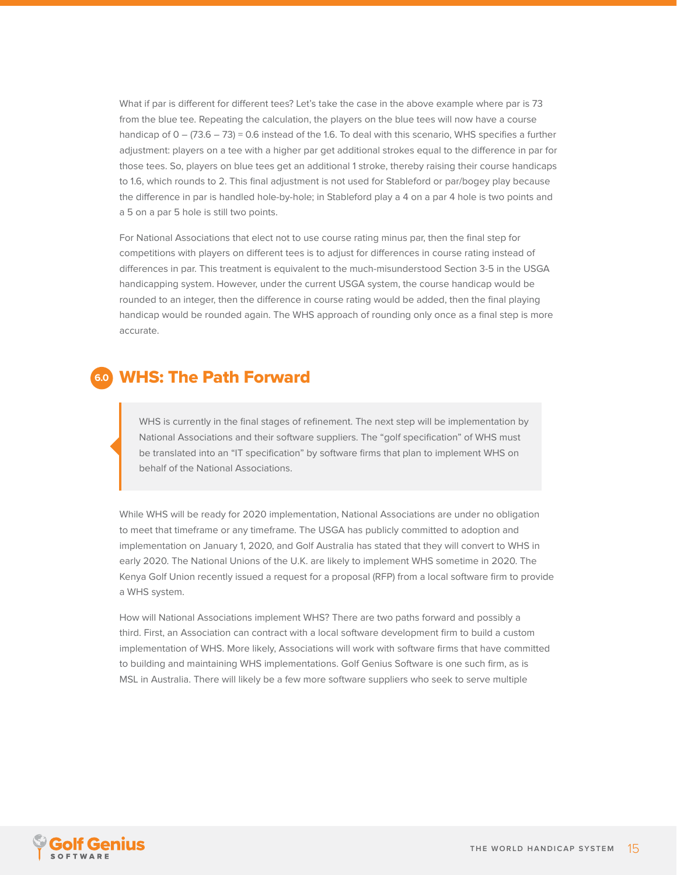<span id="page-14-0"></span>What if par is different for different tees? Let's take the case in the above example where par is 73 from the blue tee. Repeating the calculation, the players on the blue tees will now have a course handicap of  $0 - (73.6 - 73) = 0.6$  instead of the 1.6. To deal with this scenario, WHS specifies a further adjustment: players on a tee with a higher par get additional strokes equal to the difference in par for those tees. So, players on blue tees get an additional 1 stroke, thereby raising their course handicaps to 1.6, which rounds to 2. This final adjustment is not used for Stableford or par/bogey play because the difference in par is handled hole-by-hole; in Stableford play a 4 on a par 4 hole is two points and a 5 on a par 5 hole is still two points.

For National Associations that elect not to use course rating minus par, then the final step for competitions with players on different tees is to adjust for differences in course rating instead of differences in par. This treatment is equivalent to the much-misunderstood Section 3-5 in the USGA handicapping system. However, under the current USGA system, the course handicap would be rounded to an integer, then the difference in course rating would be added, then the final playing handicap would be rounded again. The WHS approach of rounding only once as a final step is more accurate.

### WHS: The Path Forward **6.0**

WHS is currently in the final stages of refinement. The next step will be implementation by National Associations and their software suppliers. The "golf specification" of WHS must be translated into an "IT specification" by software firms that plan to implement WHS on behalf of the National Associations.

While WHS will be ready for 2020 implementation, National Associations are under no obligation to meet that timeframe or any timeframe. The USGA has publicly committed to adoption and implementation on January 1, 2020, and Golf Australia has stated that they will convert to WHS in early 2020. The National Unions of the U.K. are likely to implement WHS sometime in 2020. The Kenya Golf Union recently issued a request for a proposal (RFP) from a local software firm to provide a WHS system.

How will National Associations implement WHS? There are two paths forward and possibly a third. First, an Association can contract with a local software development firm to build a custom implementation of WHS. More likely, Associations will work with software firms that have committed to building and maintaining WHS implementations. Golf Genius Software is one such firm, as is MSL in Australia. There will likely be a few more software suppliers who seek to serve multiple

![](_page_14_Picture_6.jpeg)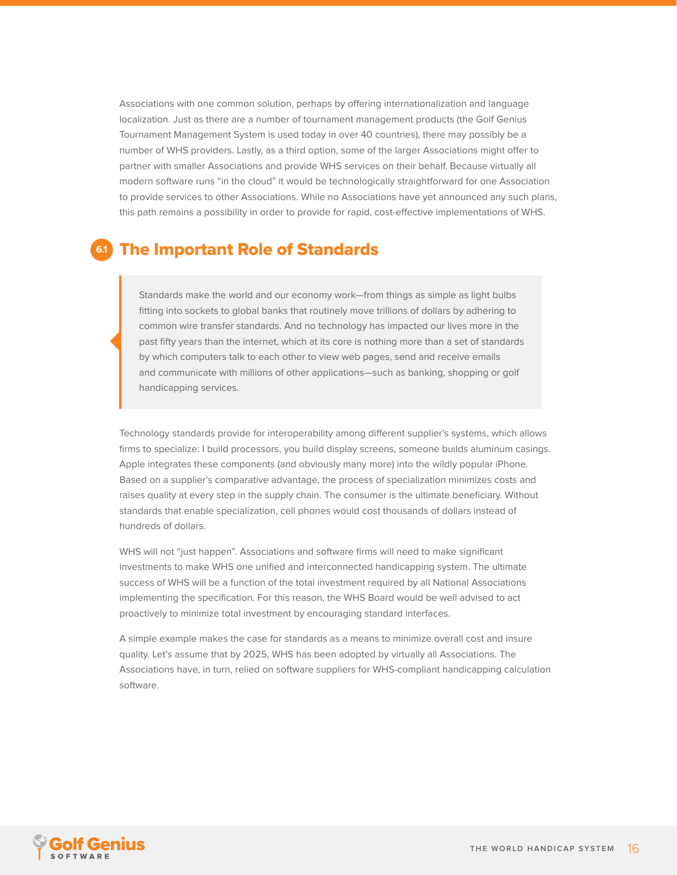<span id="page-15-0"></span>Associations with one common solution, perhaps by offering internationalization and language localization. Just as there are a number of tournament management products (the Golf Genius Tournament Management System is used today in over 40 countries), there may possibly be a number of WHS providers. Lastly, as a third option, some of the larger Associations might offer to partner with smaller Associations and provide WHS services on their behalf. Because virtually all modern software runs "in the cloud" it would be technologically straightforward for one Association to provide services to other Associations. While no Associations have yet announced any such plans, this path remains a possibility in order to provide for rapid, cost-effective implementations of WHS.

### The Important Role of Standards **6.1**

Standards make the world and our economy work—from things as simple as light bulbs fitting into sockets to global banks that routinely move trillions of dollars by adhering to common wire transfer standards. And no technology has impacted our lives more in the past fifty years than the internet, which at its core is nothing more than a set of standards by which computers talk to each other to view web pages, send and receive emails and communicate with millions of other applications—such as banking, shopping or golf handicapping services.

Technology standards provide for interoperability among different supplier's systems, which allows firms to specialize: I build processors, you build display screens, someone builds aluminum casings. Apple integrates these components (and obviously many more) into the wildly popular iPhone. Based on a supplier's comparative advantage, the process of specialization minimizes costs and raises quality at every step in the supply chain. The consumer is the ultimate beneficiary. Without standards that enable specialization, cell phones would cost thousands of dollars instead of hundreds of dollars.

WHS will not "just happen". Associations and software firms will need to make significant investments to make WHS one unified and interconnected handicapping system. The ultimate success of WHS will be a function of the total investment required by all National Associations implementing the specification. For this reason, the WHS Board would be well advised to act proactively to minimize total investment by encouraging standard interfaces.

A simple example makes the case for standards as a means to minimize overall cost and insure quality. Let's assume that by 2025, WHS has been adopted by virtually all Associations. The Associations have, in turn, relied on software suppliers for WHS-compliant handicapping calculation software.

![](_page_15_Picture_6.jpeg)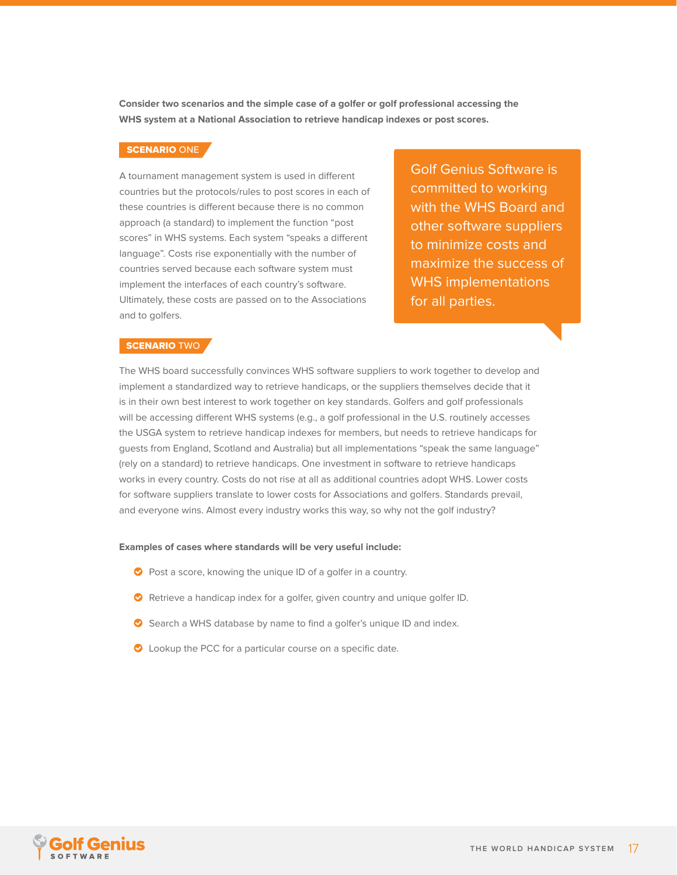**Consider two scenarios and the simple case of a golfer or golf professional accessing the WHS system at a National Association to retrieve handicap indexes or post scores.**

#### SCENARIO ONE

A tournament management system is used in different countries but the protocols/rules to post scores in each of these countries is different because there is no common approach (a standard) to implement the function "post scores" in WHS systems. Each system "speaks a different language". Costs rise exponentially with the number of countries served because each software system must implement the interfaces of each country's software. Ultimately, these costs are passed on to the Associations and to golfers.

Golf Genius Software is committed to working with the WHS Board and other software suppliers to minimize costs and maximize the success of WHS implementations for all parties.

#### SCENARIO TWO

The WHS board successfully convinces WHS software suppliers to work together to develop and implement a standardized way to retrieve handicaps, or the suppliers themselves decide that it is in their own best interest to work together on key standards. Golfers and golf professionals will be accessing different WHS systems (e.g., a golf professional in the U.S. routinely accesses the USGA system to retrieve handicap indexes for members, but needs to retrieve handicaps for guests from England, Scotland and Australia) but all implementations "speak the same language" (rely on a standard) to retrieve handicaps. One investment in software to retrieve handicaps works in every country. Costs do not rise at all as additional countries adopt WHS. Lower costs for software suppliers translate to lower costs for Associations and golfers. Standards prevail, and everyone wins. Almost every industry works this way, so why not the golf industry?

#### **Examples of cases where standards will be very useful include:**

- $\bullet$  Post a score, knowing the unique ID of a golfer in a country.
- $\bullet$  Retrieve a handicap index for a golfer, given country and unique golfer ID.
- Search a WHS database by name to find a golfer's unique ID and index.
- C Lookup the PCC for a particular course on a specific date.

![](_page_16_Picture_11.jpeg)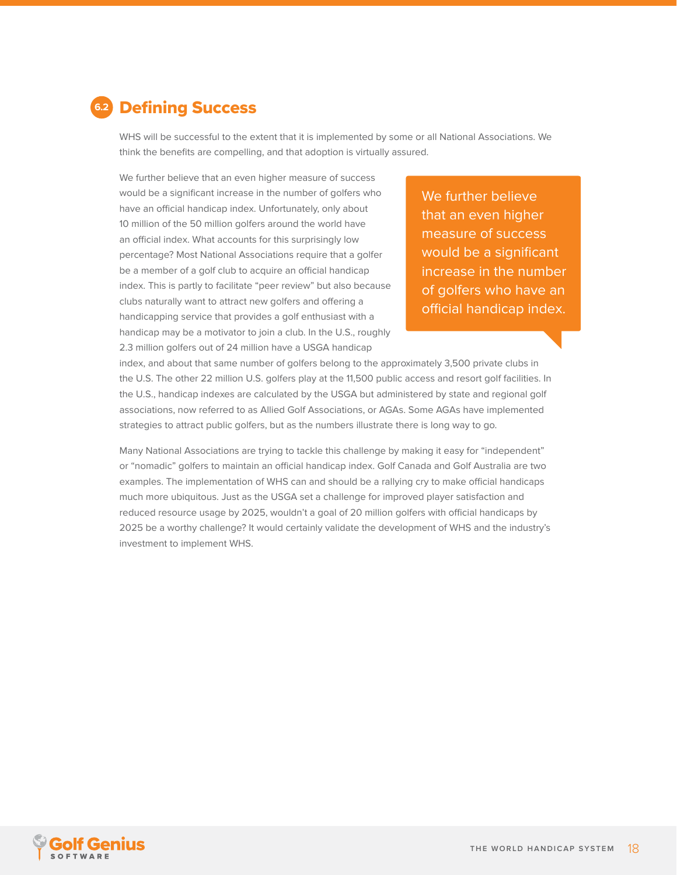<span id="page-17-0"></span>![](_page_17_Picture_0.jpeg)

WHS will be successful to the extent that it is implemented by some or all National Associations. We think the benefits are compelling, and that adoption is virtually assured.

We further believe that an even higher measure of success would be a significant increase in the number of golfers who have an official handicap index. Unfortunately, only about 10 million of the 50 million golfers around the world have an official index. What accounts for this surprisingly low percentage? Most National Associations require that a golfer be a member of a golf club to acquire an official handicap index. This is partly to facilitate "peer review" but also because clubs naturally want to attract new golfers and offering a handicapping service that provides a golf enthusiast with a handicap may be a motivator to join a club. In the U.S., roughly 2.3 million golfers out of 24 million have a USGA handicap

We further believe that an even higher measure of success would be a significant increase in the number of golfers who have an official handicap index.

index, and about that same number of golfers belong to the approximately 3,500 private clubs in the U.S. The other 22 million U.S. golfers play at the 11,500 public access and resort golf facilities. In the U.S., handicap indexes are calculated by the USGA but administered by state and regional golf associations, now referred to as Allied Golf Associations, or AGAs. Some AGAs have implemented strategies to attract public golfers, but as the numbers illustrate there is long way to go.

Many National Associations are trying to tackle this challenge by making it easy for "independent" or "nomadic" golfers to maintain an official handicap index. Golf Canada and Golf Australia are two examples. The implementation of WHS can and should be a rallying cry to make official handicaps much more ubiquitous. Just as the USGA set a challenge for improved player satisfaction and reduced resource usage by 2025, wouldn't a goal of 20 million golfers with official handicaps by 2025 be a worthy challenge? It would certainly validate the development of WHS and the industry's investment to implement WHS.

![](_page_17_Picture_6.jpeg)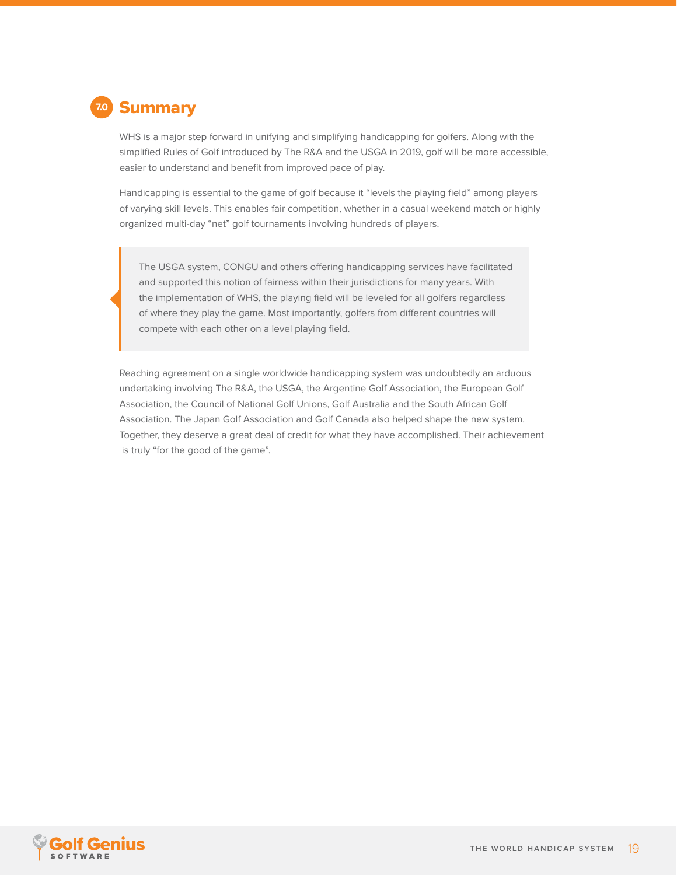<span id="page-18-0"></span>![](_page_18_Picture_0.jpeg)

WHS is a major step forward in unifying and simplifying handicapping for golfers. Along with the simplified Rules of Golf introduced by The R&A and the USGA in 2019, golf will be more accessible, easier to understand and benefit from improved pace of play.

Handicapping is essential to the game of golf because it "levels the playing field" among players of varying skill levels. This enables fair competition, whether in a casual weekend match or highly organized multi-day "net" golf tournaments involving hundreds of players.

The USGA system, CONGU and others offering handicapping services have facilitated and supported this notion of fairness within their jurisdictions for many years. With the implementation of WHS, the playing field will be leveled for all golfers regardless of where they play the game. Most importantly, golfers from different countries will compete with each other on a level playing field.

Reaching agreement on a single worldwide handicapping system was undoubtedly an arduous undertaking involving The R&A, the USGA, the Argentine Golf Association, the European Golf Association, the Council of National Golf Unions, Golf Australia and the South African Golf Association. The Japan Golf Association and Golf Canada also helped shape the new system. Together, they deserve a great deal of credit for what they have accomplished. Their achievement is truly "for the good of the game".

![](_page_18_Picture_5.jpeg)